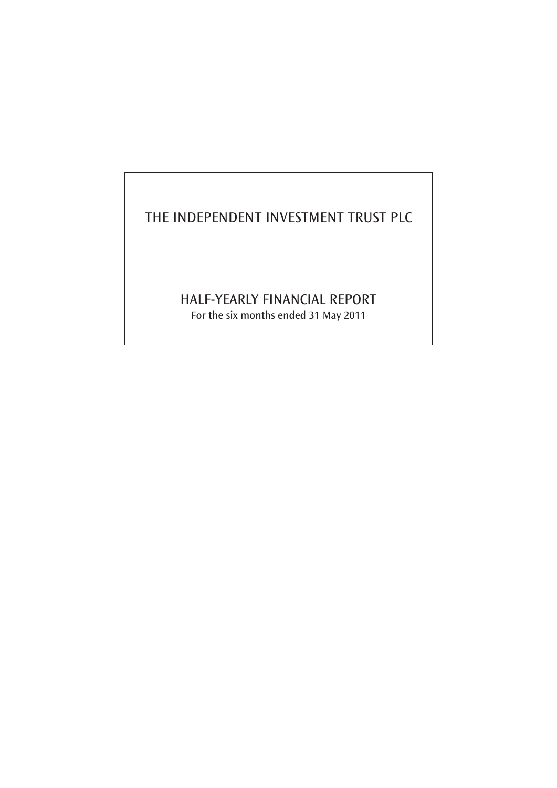# THE INDEPENDENT INVESTMENT TRUST PLC

# HALF-YEARLY FINANCIAL REPORT

For the six months ended 31 May 2011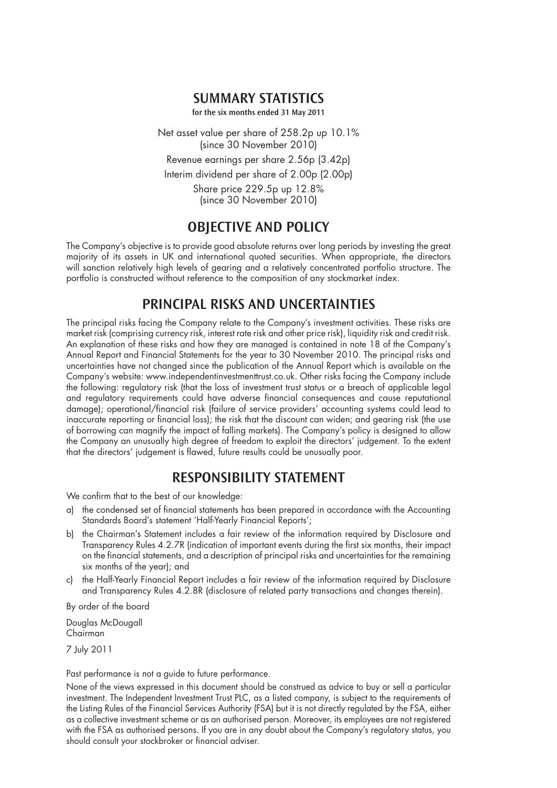### **SUMMARY STATISTICS**

**for the six months ended 31 May 2011** 

Net asset value per share of 258.2p up 10.1% (since 30 November 2010) Revenue earnings per share 2.56p (3.42p) Interim dividend per share of 2.00p (2.00p) Share price 229.5p up 12.8% (since 30 November 2010)

## **OBJECTIVE AND POLICY**

The Company's objective is to provide good absolute returns over long periods by investing the great majority of its assets in UK and international quoted securities. When appropriate, the directors will sanction relatively high levels of gearing and a relatively concentrated portfolio structure. The portfolio is constructed without reference to the composition of any stockmarket index.

## **PRINCIPAL RISKS AND UNCERTAINTIES**

The principal risks facing the Company relate to the Company's investment activities. These risks are market risk (comprising currency risk, interest rate risk and other price risk), liquidity risk and credit risk. An explanation of these risks and how they are managed is contained in note 18 of the Company's Annual Report and Financial Statements for the year to 30 November 2010. The principal risks and uncertainties have not changed since the publication of the Annual Report which is available on the Company's website: www.independentinvestmenttrust.co.uk. Other risks facing the Company include the following: regulatory risk (that the loss of investment trust status or a breach of applicable legal and regulatory requirements could have adverse financial consequences and cause reputational damage); operational/financial risk (failure of service providers' accounting systems could lead to inaccurate reporting or financial loss); the risk that the discount can widen; and gearing risk (the use of borrowing can magnify the impact of falling markets). The Company's policy is designed to allow the Company an unusually high degree of freedom to exploit the directors' judgement. To the extent that the directors' judgement is flawed, future results could be unusually poor.

### **Responsibility Statement**

We confirm that to the best of our knowledge:

- a) the condensed set of financial statements has been prepared in accordance with the Accounting Standards Board's statement 'Half-Yearly Financial Reports';
- b) the Chairman's Statement includes a fair review of the information required by Disclosure and Transparency Rules 4.2.7R (indication of important events during the first six months, their impact on the financial statements, and a description of principal risks and uncertainties for the remaining six months of the year); and
- c) the Half-Yearly Financial Report includes a fair review of the information required by Disclosure and Transparency Rules 4.2.8R (disclosure of related party transactions and changes therein).

By order of the board

Douglas McDougall Chairman

7 July 2011

Past performance is not a guide to future performance.

None of the views expressed in this document should be construed as advice to buy or sell a particular investment. The Independent Investment Trust PLC, as a listed company, is subject to the requirements of the Listing Rules of the Financial Services Authority (FSA) but it is not directly regulated by the FSA, either as a collective investment scheme or as an authorised person. Moreover, its employees are not registered with the FSA as authorised persons. If you are in any doubt about the Company's regulatory status, you should consult your stockbroker or financial adviser.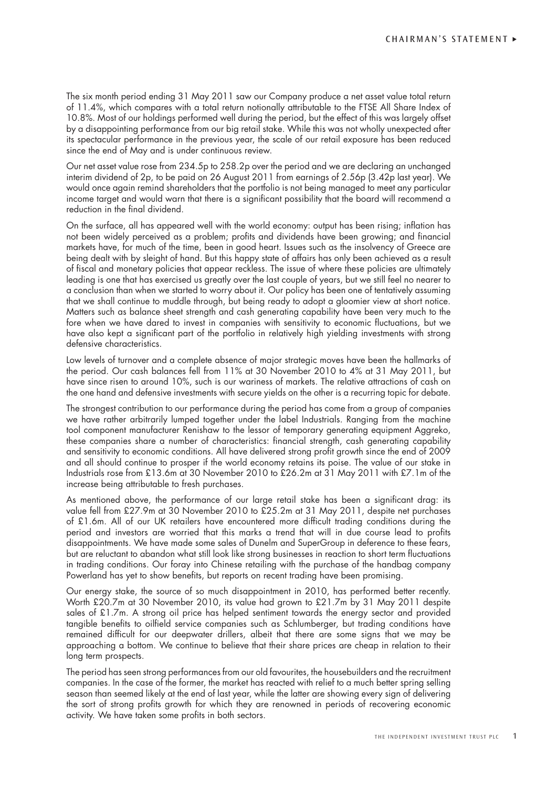The six month period ending 31 May 2011 saw our Company produce a net asset value total return of 11.4%, which compares with a total return notionally attributable to the FTSE All Share Index of 10.8%. Most of our holdings performed well during the period, but the effect of this was largely offset by a disappointing performance from our big retail stake. While this was not wholly unexpected after its spectacular performance in the previous year, the scale of our retail exposure has been reduced since the end of May and is under continuous review.

Our net asset value rose from 234.5p to 258.2p over the period and we are declaring an unchanged interim dividend of 2p, to be paid on 26 August 2011 from earnings of 2.56p (3.42p last year). We would once again remind shareholders that the portfolio is not being managed to meet any particular income target and would warn that there is a significant possibility that the board will recommend a reduction in the final dividend.

On the surface, all has appeared well with the world economy: output has been rising; inflation has not been widely perceived as a problem; profits and dividends have been growing; and financial markets have, for much of the time, been in good heart. Issues such as the insolvency of Greece are being dealt with by sleight of hand. But this happy state of affairs has only been achieved as a result of fiscal and monetary policies that appear reckless. The issue of where these policies are ultimately leading is one that has exercised us greatly over the last couple of years, but we still feel no nearer to a conclusion than when we started to worry about it. Our policy has been one of tentatively assuming that we shall continue to muddle through, but being ready to adopt a gloomier view at short notice. Matters such as balance sheet strength and cash generating capability have been very much to the fore when we have dared to invest in companies with sensitivity to economic fluctuations, but we have also kept a significant part of the portfolio in relatively high yielding investments with strong defensive characteristics.

Low levels of turnover and a complete absence of major strategic moves have been the hallmarks of the period. Our cash balances fell from 11% at 30 November 2010 to 4% at 31 May 2011, but have since risen to around 10%, such is our wariness of markets. The relative attractions of cash on the one hand and defensive investments with secure yields on the other is a recurring topic for debate.

The strongest contribution to our performance during the period has come from a group of companies we have rather arbitrarily lumped together under the label Industrials. Ranging from the machine tool component manufacturer Renishaw to the lessor of temporary generating equipment Aggreko, these companies share a number of characteristics: financial strength, cash generating capability and sensitivity to economic conditions. All have delivered strong profit growth since the end of 2009 and all should continue to prosper if the world economy retains its poise. The value of our stake in Industrials rose from £13.6m at 30 November 2010 to £26.2m at 31 May 2011 with £7.1m of the increase being attributable to fresh purchases.

As mentioned above, the performance of our large retail stake has been a significant drag: its value fell from £27.9m at 30 November 2010 to £25.2m at 31 May 2011, despite net purchases of £1.6m. All of our UK retailers have encountered more difficult trading conditions during the period and investors are worried that this marks a trend that will in due course lead to profits disappointments. We have made some sales of Dunelm and SuperGroup in deference to these fears, but are reluctant to abandon what still look like strong businesses in reaction to short term fluctuations in trading conditions. Our foray into Chinese retailing with the purchase of the handbag company Powerland has yet to show benefits, but reports on recent trading have been promising.

Our energy stake, the source of so much disappointment in 2010, has performed better recently. Worth £20.7m at 30 November 2010, its value had grown to £21.7m by 31 May 2011 despite sales of £1.7m. A strong oil price has helped sentiment towards the energy sector and provided tangible benefits to oilfield service companies such as Schlumberger, but trading conditions have remained difficult for our deepwater drillers, albeit that there are some signs that we may be approaching a bottom. We continue to believe that their share prices are cheap in relation to their long term prospects.

The period has seen strong performances from our old favourites, the housebuilders and the recruitment companies. In the case of the former, the market has reacted with relief to a much better spring selling season than seemed likely at the end of last year, while the latter are showing every sign of delivering the sort of strong profits growth for which they are renowned in periods of recovering economic activity. We have taken some profits in both sectors.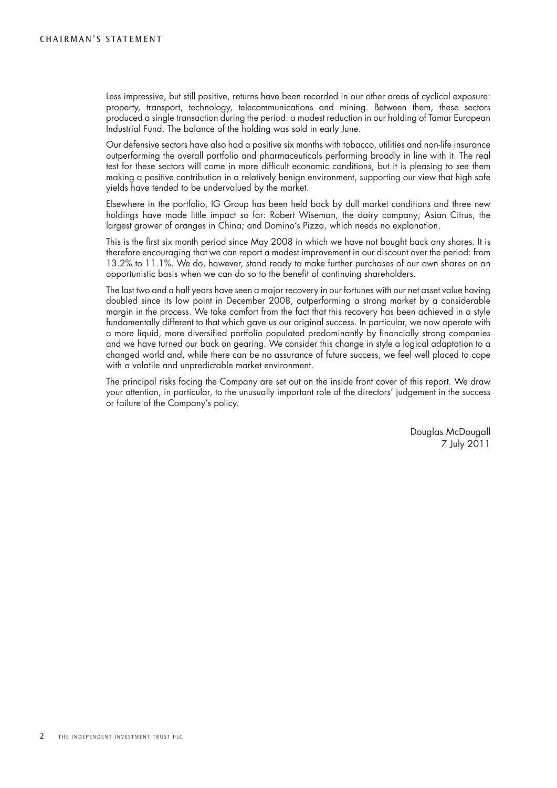Less impressive, but still positive, returns have been recorded in our other areas of cyclical exposure: property, transport, technology, telecommunications and mining. Between them, these sectors produced a single transaction during the period: a modest reduction in our holding of Tamar European Industrial Fund. The balance of the holding was sold in early June.

Our defensive sectors have also had a positive six months with tobacco, utilities and non-life insurance outperforming the overall portfolio and pharmaceuticals performing broadly in line with it. The real test for these sectors will come in more difficult economic conditions, but it is pleasing to see them making a positive contribution in a relatively benign environment, supporting our view that high safe yields have tended to be undervalued by the market.

Elsewhere in the portfolio, IG Group has been held back by dull market conditions and three new holdings have made little impact so far: Robert Wiseman, the dairy company; Asian Citrus, the largest grower of oranges in China; and Domino's Pizza, which needs no explanation.

This is the first six month period since May 2008 in which we have not bought back any shares. It is therefore encouraging that we can report a modest improvement in our discount over the period: from 13.2% to 11.1%. We do, however, stand ready to make further purchases of our own shares on an opportunistic basis when we can do so to the benefit of continuing shareholders.

The last two and a half years have seen a major recovery in our fortunes with our net asset value having doubled since its low point in December 2008, outperforming a strong market by a considerable margin in the process. We take comfort from the fact that this recovery has been achieved in a style fundamentally different to that which gave us our original success. In particular, we now operate with a more liquid, more diversified portfolio populated predominantly by financially strong companies and we have turned our back on gearing. We consider this change in style a logical adaptation to a changed world and, while there can be no assurance of future success, we feel well placed to cope with a volatile and unpredictable market environment.

The principal risks facing the Company are set out on the inside front cover of this report. We draw your attention, in particular, to the unusually important role of the directors' judgement in the success or failure of the Company's policy.

> Douglas McDougall 7 July 2011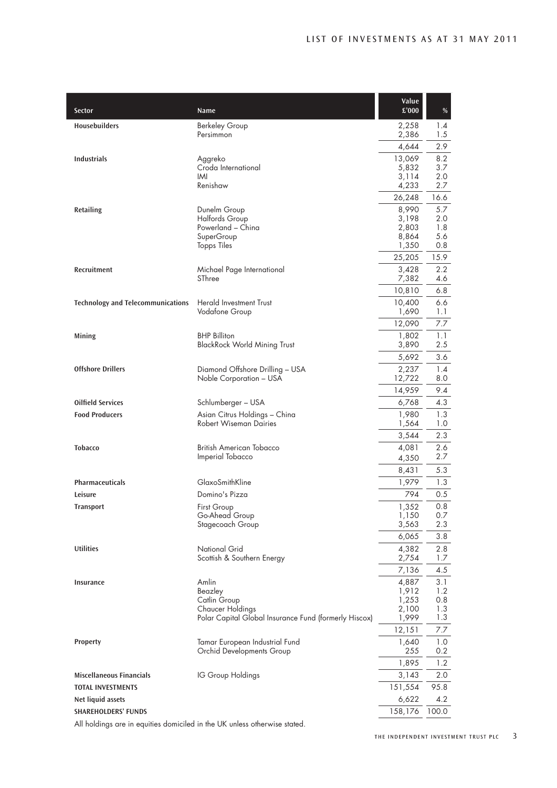| Sector                                                                    | Name                                                           | Value<br>£'000  | $\%$       |
|---------------------------------------------------------------------------|----------------------------------------------------------------|-----------------|------------|
| <b>Housebuilders</b>                                                      | <b>Berkeley Group</b><br>Persimmon                             | 2,258<br>2,386  | 1.4<br>1.5 |
|                                                                           |                                                                | 4,644           | 2.9        |
| <b>Industrials</b>                                                        | Aggreko                                                        | 13,069          | 8.2        |
|                                                                           | Croda International<br>IMI                                     | 5,832<br>3,114  | 3.7<br>2.0 |
|                                                                           | Renishaw                                                       | 4,233           | 2.7        |
|                                                                           |                                                                | 26,248          | 16.6       |
| Retailing                                                                 | Dunelm Group                                                   | 8,990           | 5.7        |
|                                                                           | <b>Halfords Group</b><br>Powerland - China                     | 3,198<br>2,803  | 2.0<br>1.8 |
|                                                                           | SuperGroup                                                     | 8,864           | 5.6        |
|                                                                           | <b>Topps Tiles</b>                                             | 1,350           | 0.8        |
|                                                                           |                                                                | 25,205          | 15.9       |
| Recruitment                                                               | Michael Page International                                     | 3,428           | 2.2        |
|                                                                           | SThree                                                         | 7,382           | 4.6        |
|                                                                           |                                                                | 10,810          | 6.8        |
| <b>Technology and Telecommunications</b>                                  | <b>Herald Investment Trust</b><br>Vodafone Group               | 10,400<br>1,690 | 6.6<br>1.1 |
|                                                                           |                                                                | 12,090          | 7.7        |
| Mining                                                                    | <b>BHP Billiton</b>                                            | 1,802           | 1.1        |
|                                                                           | <b>BlackRock World Mining Trust</b>                            | 3,890           | 2.5        |
|                                                                           |                                                                | 5,692           | 3.6        |
| <b>Offshore Drillers</b>                                                  | Diamond Offshore Drilling - USA                                | 2,237           | 1.4        |
|                                                                           | Noble Corporation - USA                                        | 12,722          | 8.0        |
|                                                                           |                                                                | 14,959          | 9.4        |
| <b>Oilfield Services</b>                                                  | Schlumberger - USA                                             | 6,768           | 4.3        |
| <b>Food Producers</b>                                                     | Asian Citrus Holdings - China<br><b>Robert Wiseman Dairies</b> | 1,980           | 1.3<br>1.0 |
|                                                                           |                                                                | 1,564<br>3,544  | 2.3        |
| <b>Tobacco</b>                                                            | British American Tobacco                                       | 4,081           | 2.6        |
|                                                                           | Imperial Tobacco                                               | 4,350           | 2.7        |
|                                                                           |                                                                | 8,431           | 5.3        |
| <b>Pharmaceuticals</b>                                                    | GlaxoSmithKline                                                | 1,979           | 1.3        |
| Leisure                                                                   | Domino's Pizza                                                 | 794             | 0.5        |
| Transport                                                                 | First Group                                                    | 1,352           | 0.8        |
|                                                                           | Go-Ahead Group                                                 | 1,150           | 0.7        |
|                                                                           | Stagecoach Group                                               | 3,563           | 2.3        |
|                                                                           |                                                                | 6,065           | 3.8        |
| <b>Utilities</b>                                                          | <b>National Grid</b><br>Scottish & Southern Energy             | 4,382<br>2,754  | 2.8<br>1.7 |
|                                                                           |                                                                | 7,136           | 4.5        |
| <b>Insurance</b>                                                          | Amlin                                                          | 4,887           | 3.1        |
|                                                                           | Beazley                                                        | 1,912           | 1.2        |
|                                                                           | Catlin Group<br><b>Chaucer Holdings</b>                        | 1,253<br>2,100  | 0.8<br>1.3 |
|                                                                           | Polar Capital Global Insurance Fund (formerly Hiscox)          | 1,999           | 1.3        |
|                                                                           |                                                                | 12,151          | 7.7        |
| <b>Property</b>                                                           | Tamar European Industrial Fund                                 | 1,640           | 1.0        |
|                                                                           | Orchid Developments Group                                      | 255             | 0.2        |
|                                                                           |                                                                | 1,895           | 1.2        |
| <b>Miscellaneous Financials</b>                                           | IG Group Holdings                                              | 3,143           | 2.0        |
| <b>TOTAL INVESTMENTS</b>                                                  |                                                                | 151,554         | 95.8       |
| Net liquid assets                                                         |                                                                | 6,622           | 4.2        |
| <b>SHAREHOLDERS' FUNDS</b>                                                |                                                                | 158,176         | 100.0      |
| All holdings are in equities domiciled in the UK unless otherwise stated. |                                                                |                 |            |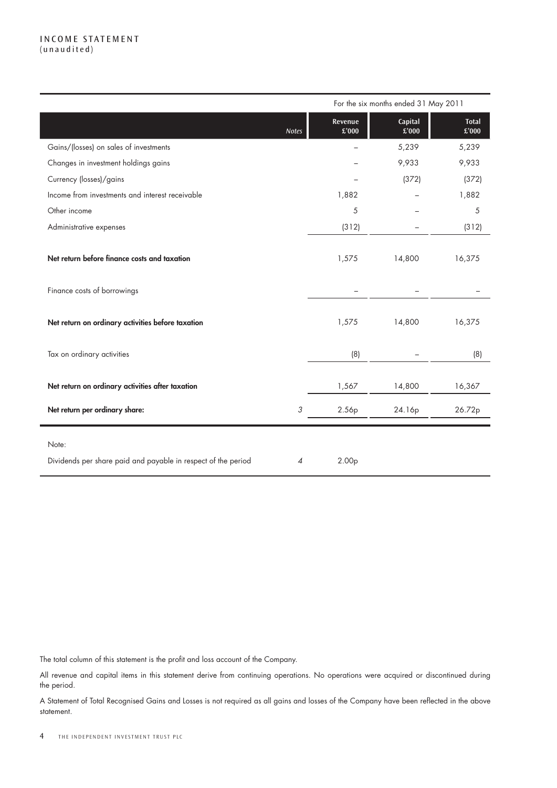#### I ncome statement (unaudited)

|                                                               |              | For the six months ended 31 May 2011 |                                        |                       |  |  |
|---------------------------------------------------------------|--------------|--------------------------------------|----------------------------------------|-----------------------|--|--|
|                                                               | <b>Notes</b> | Revenue<br>£'000                     | Capital<br>$\overline{\mathbf{2}'000}$ | <b>Total</b><br>£'000 |  |  |
| Gains/(losses) on sales of investments                        |              |                                      | 5,239                                  | 5,239                 |  |  |
| Changes in investment holdings gains                          |              |                                      | 9,933                                  | 9,933                 |  |  |
| Currency (losses)/gains                                       |              |                                      | (372)                                  | (372)                 |  |  |
| Income from investments and interest receivable               |              | 1,882                                |                                        | 1,882                 |  |  |
| Other income                                                  |              | 5                                    |                                        | 5                     |  |  |
| Administrative expenses                                       |              | (312)                                |                                        | (312)                 |  |  |
|                                                               |              |                                      |                                        |                       |  |  |
| Net return before finance costs and taxation                  |              | 1,575                                | 14,800                                 | 16,375                |  |  |
|                                                               |              |                                      |                                        |                       |  |  |
| Finance costs of borrowings                                   |              |                                      |                                        |                       |  |  |
| Net return on ordinary activities before taxation             |              | 1,575                                | 14,800                                 | 16,375                |  |  |
| Tax on ordinary activities                                    |              | (8)                                  |                                        | (8)                   |  |  |
| Net return on ordinary activities after taxation              |              | 1,567                                | 14,800                                 | 16,367                |  |  |
| Net return per ordinary share:                                | 3            | 2.56p                                | 24.16p                                 | 26.72p                |  |  |
| Note:                                                         |              |                                      |                                        |                       |  |  |
| Dividends per share paid and payable in respect of the period | 4            | 2.00 <sub>p</sub>                    |                                        |                       |  |  |

The total column of this statement is the profit and loss account of the Company.

All revenue and capital items in this statement derive from continuing operations. No operations were acquired or discontinued during the period.

A Statement of Total Recognised Gains and Losses is not required as all gains and losses of the Company have been reflected in the above statement.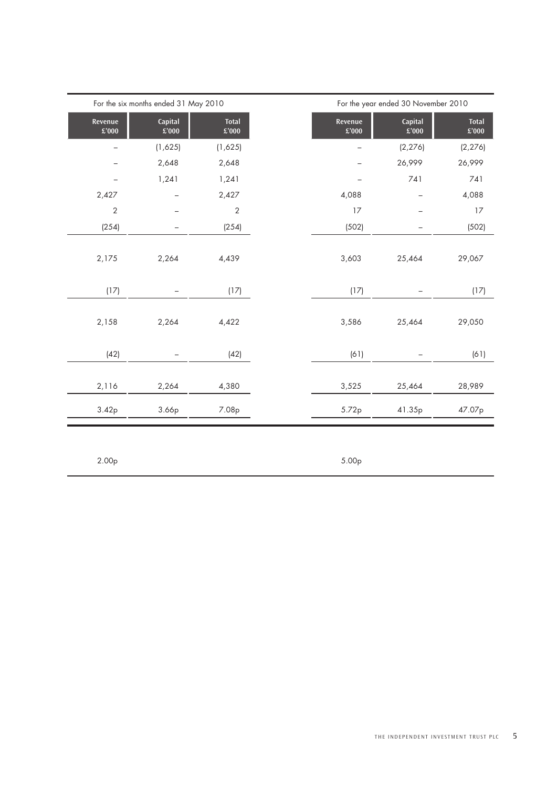|                          | For the six months ended 31 May 2010 |                               |                          | For the year ended 30 November 2010 |                               |  |  |  |
|--------------------------|--------------------------------------|-------------------------------|--------------------------|-------------------------------------|-------------------------------|--|--|--|
| Revenue<br>$\pounds'000$ | Capital<br>$\pounds'000$             | <b>Total</b><br>$\pounds'000$ | Revenue<br>$\pounds'000$ | Capital<br>£'000                    | <b>Total</b><br>$\pounds'000$ |  |  |  |
|                          | (1,625)                              | (1,625)                       |                          | (2, 276)                            | (2, 276)                      |  |  |  |
|                          | 2,648                                | 2,648                         |                          | 26,999                              | 26,999                        |  |  |  |
|                          | 1,241                                | 1,241                         |                          | 741                                 | 741                           |  |  |  |
| 2,427                    |                                      | 2,427                         | 4,088                    |                                     | 4,088                         |  |  |  |
| $\overline{2}$           |                                      | $\overline{2}$                | 17                       |                                     | 17                            |  |  |  |
| (254)                    |                                      | (254)                         | (502)                    |                                     | (502)                         |  |  |  |
| 2,175                    | 2,264                                | 4,439                         | 3,603                    | 25,464                              | 29,067                        |  |  |  |
| (17)                     |                                      | (17)                          | (17)                     |                                     | (17)                          |  |  |  |
| 2,158                    | 2,264                                | 4,422                         | 3,586                    | 25,464                              | 29,050                        |  |  |  |
| (42)                     |                                      | (42)                          | (61)                     |                                     | (61)                          |  |  |  |
| 2,116                    | 2,264                                | 4,380                         | 3,525                    | 25,464                              | 28,989                        |  |  |  |
| 3.42p                    | 3.66p                                | 7.08p                         | 5.72p                    | 41.35p                              | 47.07p                        |  |  |  |
|                          |                                      |                               |                          |                                     |                               |  |  |  |

2.00p 5.00p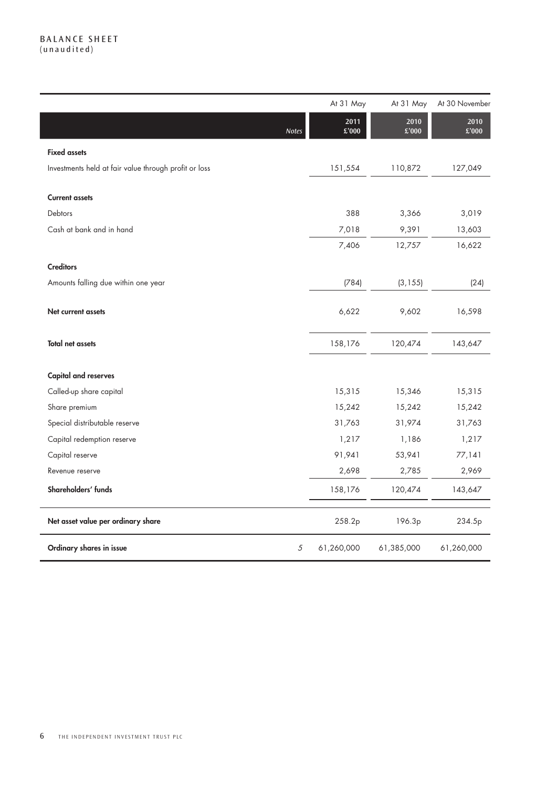#### B alance sheet (unaudited)

|                                                       | At 31 May       | At 31 May     | At 30 November |
|-------------------------------------------------------|-----------------|---------------|----------------|
| Notes                                                 | 2011<br>£'000   | 2010<br>£'000 | 2010<br>£'000  |
| <b>Fixed assets</b>                                   |                 |               |                |
| Investments held at fair value through profit or loss | 151,554         | 110,872       | 127,049        |
| <b>Current assets</b>                                 |                 |               |                |
| Debtors                                               | 388             | 3,366         | 3,019          |
| Cash at bank and in hand                              | 7,018           | 9,391         | 13,603         |
|                                                       | 7,406           | 12,757        | 16,622         |
| <b>Creditors</b>                                      |                 |               |                |
| Amounts falling due within one year                   | (784)           | (3, 155)      | (24)           |
| Net current assets                                    | 6,622           | 9,602         | 16,598         |
| <b>Total net assets</b>                               | 158,176         | 120,474       | 143,647        |
| <b>Capital and reserves</b>                           |                 |               |                |
| Called-up share capital                               | 15,315          | 15,346        | 15,315         |
| Share premium                                         | 15,242          | 15,242        | 15,242         |
| Special distributable reserve                         | 31,763          | 31,974        | 31,763         |
| Capital redemption reserve                            | 1,217           | 1,186         | 1,217          |
| Capital reserve                                       | 91,941          | 53,941        | 77,141         |
| Revenue reserve                                       | 2,698           | 2,785         | 2,969          |
| Shareholders' funds                                   | 158,176         | 120,474       | 143,647        |
| Net asset value per ordinary share                    | 258.2p          | 196.3p        | 234.5p         |
| Ordinary shares in issue                              | 5<br>61,260,000 | 61,385,000    | 61,260,000     |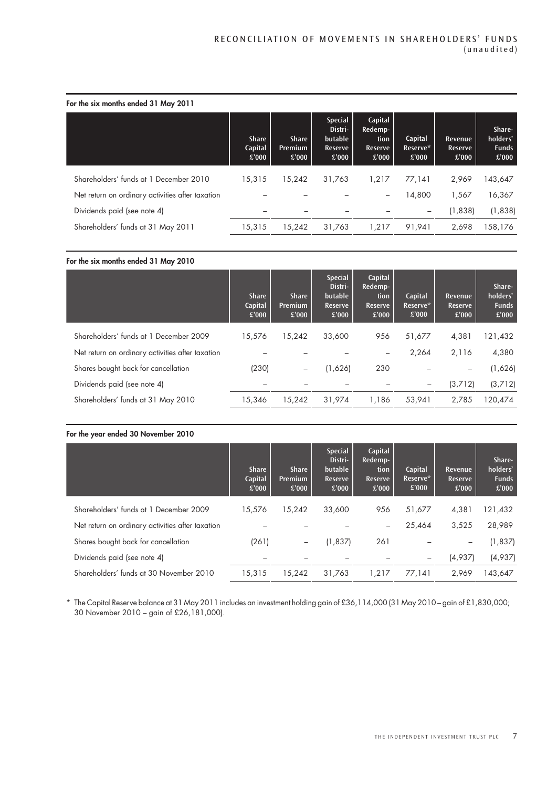|  |  |  | For the six months ended 31 May 2011 |  |  |  |  |  |
|--|--|--|--------------------------------------|--|--|--|--|--|
|--|--|--|--------------------------------------|--|--|--|--|--|

|                                                  | <b>Share</b><br>Capital<br>£'000 | <b>Share</b><br><b>Premium</b><br>£'000 | <b>Special</b><br>Distri-<br>butable<br>Reserve<br>£'000 | Capital<br>Redemp-<br>tion<br>Reserve<br>£'000 | Capital<br>Reserve*<br>£'000 | Revenue<br>Reserve<br>£'000 | Share-<br>holders'<br><b>Funds</b><br>£'000 |
|--------------------------------------------------|----------------------------------|-----------------------------------------|----------------------------------------------------------|------------------------------------------------|------------------------------|-----------------------------|---------------------------------------------|
| Shareholders' funds at 1 December 2010           | 15,315                           | 15,242                                  | 31,763                                                   | 1,217                                          | 77.141                       | 2,969                       | 43,647                                      |
| Net return on ordinary activities after taxation |                                  |                                         |                                                          | -                                              | 14,800                       | 1,567                       | 16,367                                      |
| Dividends paid (see note 4)                      |                                  |                                         | $\overline{\phantom{a}}$                                 |                                                | $\overline{\phantom{0}}$     | (1,838)                     | (1,838)                                     |
| Shareholders' funds at 31 May 2011               | 15,315                           | 15,242                                  | 31,763                                                   | 1,217                                          | 91,941                       | 2,698                       | 58,176                                      |

#### For the six months ended 31 May 2010

|                                                  | <b>Share</b><br>Capital<br>£'000 | <b>Share</b><br>Premium<br>£'000 | <b>Special</b><br>Distri-<br>butable<br>Reserve<br>£'000 | Capital<br>Redemp-<br>tion<br>Reserve<br>£'000 | Capital<br>Reserve*<br>£'000 | Revenue<br><b>Reserve</b><br>£'000 | Share-<br>holders'<br><b>Funds</b><br>£'000 |
|--------------------------------------------------|----------------------------------|----------------------------------|----------------------------------------------------------|------------------------------------------------|------------------------------|------------------------------------|---------------------------------------------|
| Shareholders' funds at 1 December 2009           | 15,576                           | 15,242                           | 33,600                                                   | 956                                            | 51,677                       | 4,381                              | 121,432                                     |
| Net return on ordinary activities after taxation |                                  |                                  |                                                          |                                                | 2,264                        | 2,116                              | 4,380                                       |
| Shares bought back for cancellation              | (230)                            | -                                | (1,626)                                                  | 230                                            |                              |                                    | (1,626)                                     |
| Dividends paid (see note 4)                      |                                  |                                  |                                                          |                                                | -                            | (3,712)                            | (3,712)                                     |
| Shareholders' funds at 31 May 2010               | 15,346                           | 15,242                           | 31,974                                                   | 1,186                                          | 53.941                       | 2.785                              | 120,474                                     |

#### For the year ended 30 November 2010

|                                                  | <b>Share</b><br>Capital<br>£'000 | <b>Share</b><br><b>Premium</b><br>£'000 | <b>Special</b><br>Distri-<br>butable<br>Reserve<br>£'000 | Capital<br>Redemp-<br>tion<br>Reserve<br>£'000 | Capital<br>Reserve*<br>£'000 | Revenue<br>Reserve<br>£'000 | Share-<br>holders'<br><b>Funds</b><br>£'000 |
|--------------------------------------------------|----------------------------------|-----------------------------------------|----------------------------------------------------------|------------------------------------------------|------------------------------|-----------------------------|---------------------------------------------|
| Shareholders' funds at 1 December 2009           | 15.576                           | 15.242                                  | 33,600                                                   | 956                                            | 51,677                       | 4,381                       | 121,432                                     |
| Net return on ordinary activities after taxation |                                  |                                         |                                                          | $\overline{\phantom{0}}$                       | 25,464                       | 3.525                       | 28,989                                      |
| Shares bought back for cancellation              | (261)                            | $\qquad \qquad -$                       | (1, 837)                                                 | 261                                            |                              |                             | (1, 837)                                    |
| Dividends paid (see note 4)                      |                                  |                                         |                                                          |                                                |                              | (4,937)                     | (4,937)                                     |
| Shareholders' funds at 30 November 2010          | 15,315                           | 15.242                                  | 31.763                                                   | 1.217                                          | 77.141                       | 2.969                       | 143,647                                     |

\* The Capital Reserve balance at 31 May 2011 includes an investment holding gain of £36,114,000 (31 May 2010 – gain of £1,830,000; 30 November 2010 – gain of £26,181,000).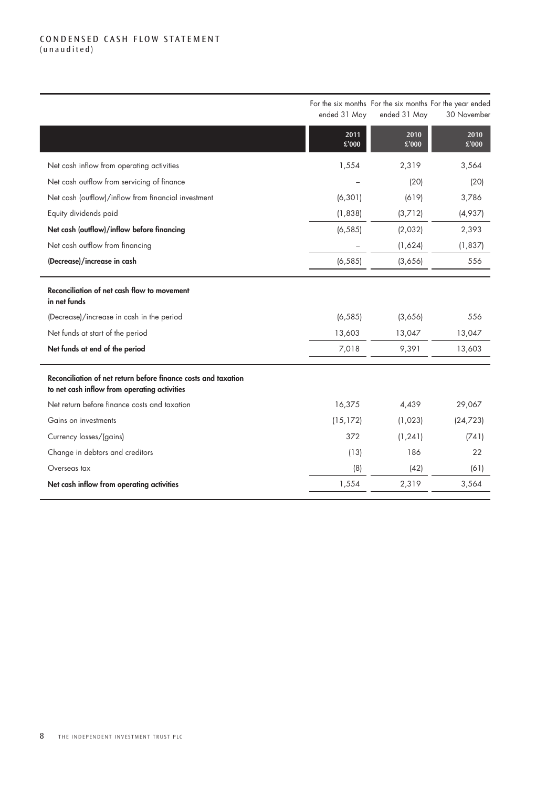#### CONDENSED CASH FLOW STATEMENT (unaudited)

|                                                                                                                | ended 31 May  | For the six months For the six months For the year ended<br>ended 31 May | 30 November   |
|----------------------------------------------------------------------------------------------------------------|---------------|--------------------------------------------------------------------------|---------------|
|                                                                                                                | 2011<br>£'000 | 2010<br>£'000                                                            | 2010<br>£'000 |
| Net cash inflow from operating activities                                                                      | 1,554         | 2,319                                                                    | 3,564         |
| Net cash outflow from servicing of finance                                                                     |               | (20)                                                                     | (20)          |
| Net cash (outflow)/inflow from financial investment                                                            | (6, 301)      | (619)                                                                    | 3,786         |
| Equity dividends paid                                                                                          | (1,838)       | (3,712)                                                                  | (4,937)       |
| Net cash (outflow)/inflow before financing                                                                     | (6, 585)      | (2,032)                                                                  | 2,393         |
| Net cash outflow from financing                                                                                |               | (1,624)                                                                  | (1, 837)      |
| (Decrease)/increase in cash                                                                                    | (6, 585)      | (3,656)                                                                  | 556           |
| Reconciliation of net cash flow to movement<br>in net funds                                                    |               |                                                                          |               |
| (Decrease)/increase in cash in the period                                                                      | (6, 585)      | (3,656)                                                                  | 556           |
| Net funds at start of the period                                                                               | 13,603        | 13,047                                                                   | 13,047        |
| Net funds at end of the period                                                                                 | 7,018         | 9,391                                                                    | 13,603        |
| Reconciliation of net return before finance costs and taxation<br>to net cash inflow from operating activities |               |                                                                          |               |
| Net return before finance costs and taxation                                                                   | 16,375        | 4,439                                                                    | 29,067        |
| Gains on investments                                                                                           | (15, 172)     | (1,023)                                                                  | (24, 723)     |
| Currency losses/(gains)                                                                                        | 372           | (1, 241)                                                                 | (741)         |
| Change in debtors and creditors                                                                                | (13)          | 186                                                                      | 22            |
| Overseas tax                                                                                                   | (8)           | (42)                                                                     | (61)          |
| Net cash inflow from operating activities                                                                      | 1,554         | 2,319                                                                    | 3,564         |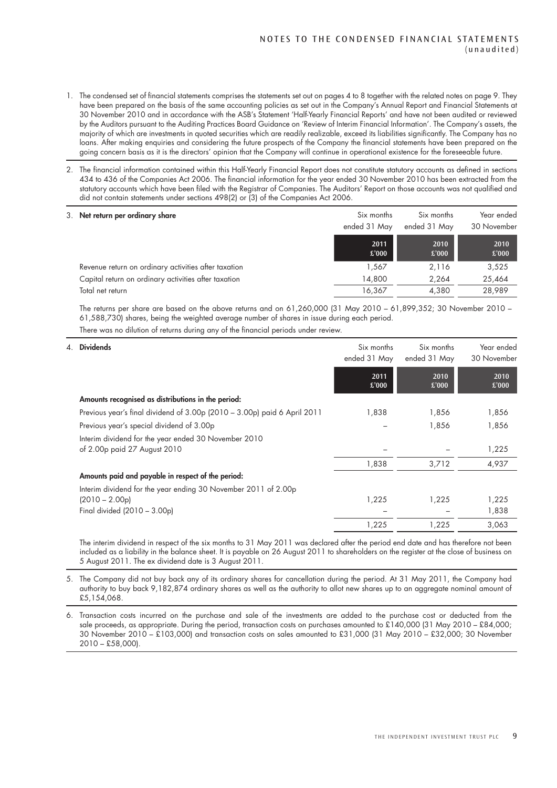- 1. The condensed set of financial statements comprises the statements set out on pages 4 to 8 together with the related notes on page 9. They have been prepared on the basis of the same accounting policies as set out in the Company's Annual Report and Financial Statements at 30 November 2010 and in accordance with the ASB's Statement 'Half-Yearly Financial Reports' and have not been audited or reviewed by the Auditors pursuant to the Auditing Practices Board Guidance on 'Review of Interim Financial Information'. The Company's assets, the majority of which are investments in quoted securities which are readily realizable, exceed its liabilities significantly. The Company has no loans. After making enquiries and considering the future prospects of the Company the financial statements have been prepared on the going concern basis as it is the directors' opinion that the Company will continue in operational existence for the foreseeable future.
- 2. The financial information contained within this Half-Yearly Financial Report does not constitute statutory accounts as defined in sections 434 to 436 of the Companies Act 2006. The financial information for the year ended 30 November 2010 has been extracted from the statutory accounts which have been filed with the Registrar of Companies. The Auditors' Report on those accounts was not qualified and did not contain statements under sections 498(2) or (3) of the Companies Act 2006.

| 3. Net return per ordinary share                     | Six months<br>ended 31 May | Six months<br>ended 31 May | Year ended<br>30 November |
|------------------------------------------------------|----------------------------|----------------------------|---------------------------|
|                                                      | 2011<br>£'000              | 2010<br>£'000              | 2010<br>£'000             |
| Revenue return on ordinary activities after taxation | 1.567                      | 2,116                      | 3,525                     |
| Capital return on ordinary activities after taxation | 14,800                     | 2.264                      | 25,464                    |
| Total net return                                     | 16,367                     | 4,380                      | 28,989                    |

The returns per share are based on the above returns and on 61,260,000 (31 May 2010 – 61,899,352; 30 November 2010 – 61,588,730) shares, being the weighted average number of shares in issue during each period.

There was no dilution of returns during any of the financial periods under review.

| 4. Dividends                                                                                                       | Six months<br>ended 31 May | Six months<br>ended 31 May | Year ended<br>30 November |
|--------------------------------------------------------------------------------------------------------------------|----------------------------|----------------------------|---------------------------|
|                                                                                                                    | 2011<br>£'000              | 2010<br>£'000              | 2010<br>£'000             |
| Amounts recognised as distributions in the period:                                                                 |                            |                            |                           |
| Previous year's final dividend of 3.00p (2010 - 3.00p) paid 6 April 2011                                           | 1,838                      | 1,856                      | 1,856                     |
| Previous year's special dividend of 3.00p                                                                          |                            | 1,856                      | 1,856                     |
| Interim dividend for the year ended 30 November 2010<br>of 2.00p paid 27 August 2010                               |                            |                            | 1,225                     |
|                                                                                                                    | 1,838                      | 3,712                      | 4,937                     |
| Amounts paid and payable in respect of the period:                                                                 |                            |                            |                           |
| Interim dividend for the year ending 30 November 2011 of 2.00p<br>$(2010 - 2.00p)$<br>Final divided (2010 - 3.00p) | 1,225                      | 1,225                      | 1,225<br>1,838            |
|                                                                                                                    | 1,225                      | 1,225                      | 3,063                     |

The interim dividend in respect of the six months to 31 May 2011 was declared after the period end date and has therefore not been included as a liability in the balance sheet. It is payable on 26 August 2011 to shareholders on the register at the close of business on 5 August 2011. The ex dividend date is 3 August 2011.

5. The Company did not buy back any of its ordinary shares for cancellation during the period. At 31 May 2011, the Company had authority to buy back 9,182,874 ordinary shares as well as the authority to allot new shares up to an aggregate nominal amount of £5,154,068.

6. Transaction costs incurred on the purchase and sale of the investments are added to the purchase cost or deducted from the sale proceeds, as appropriate. During the period, transaction costs on purchases amounted to £140,000 (31 May 2010 – £84,000; 30 November 2010 – £103,000) and transaction costs on sales amounted to £31,000 (31 May 2010 – £32,000; 30 November 2010 – £58,000).